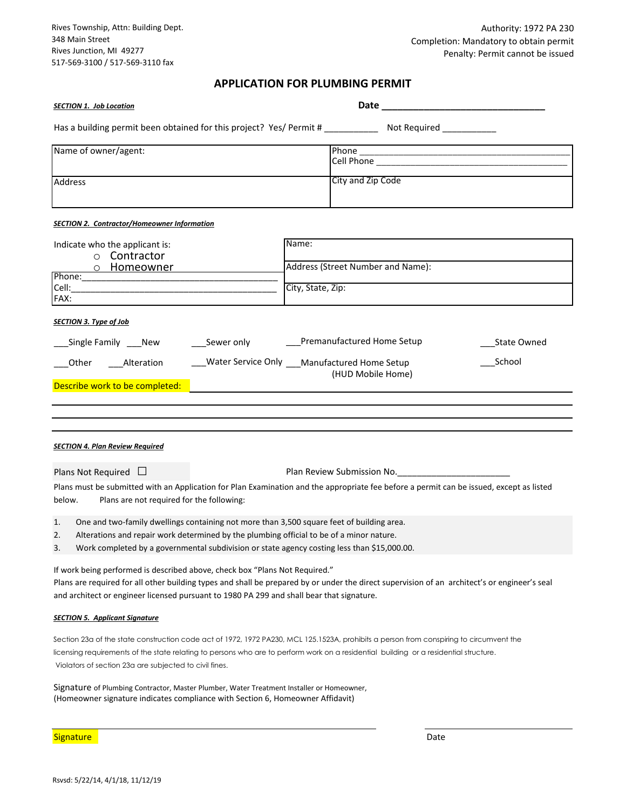Rives Township, Attn: Building Dept. 348 Main Street Rives Junction, MI 49277 517-569-3100 / 517-569-3110 fax

# **APPLICATION FOR PLUMBING PERMIT**

| <b>SECTION 1. Job Location</b>                                                                                                                                                                                                                                                                                                             |                                                                 |
|--------------------------------------------------------------------------------------------------------------------------------------------------------------------------------------------------------------------------------------------------------------------------------------------------------------------------------------------|-----------------------------------------------------------------|
| Has a building permit been obtained for this project? Yes/ Permit # _____________ Not Required ___________                                                                                                                                                                                                                                 |                                                                 |
| Name of owner/agent:                                                                                                                                                                                                                                                                                                                       |                                                                 |
| Address                                                                                                                                                                                                                                                                                                                                    | City and Zip Code                                               |
| <b>SECTION 2. Contractor/Homeowner Information</b>                                                                                                                                                                                                                                                                                         |                                                                 |
| Indicate who the applicant is:<br>o Contractor<br><u>o Homeowner _______</u><br>Phone: National Communication of the Communication of the Communication of the Communication of the Communication of the Communication of the Communication of the Communication of the Communication of the Communication of<br>FAX:                      | Name:<br>Address (Street Number and Name):<br>City, State, Zip: |
| <b>SECTION 3. Type of Job</b><br>_____Sewer only ________________Premanufactured Home Setup<br>_Single Family ____New<br><b>State Owned</b><br>___Water Service Only ___Manufactured Home Setup<br>School<br>Other ___Alteration<br>(HUD Mobile Home)<br>Describe work to be completed:                                                    |                                                                 |
| <b>SECTION 4. Plan Review Required</b><br>Plan Review Submission No. 2008. [1] Plan Review Submission No.<br>Plans Not Required $\Box$<br>Plans must be submitted with an Application for Plan Examination and the appropriate fee before a permit can be issued, except as listed<br>below.<br>Plans are not required for the following:  |                                                                 |
| One and two-family dwellings containing not more than 3,500 square feet of building area.<br>1.<br>Alterations and repair work determined by the plumbing official to be of a minor nature.<br>2.<br>Work completed by a governmental subdivision or state agency costing less than \$15,000.00.<br>3.                                     |                                                                 |
| If work being performed is described above, check box "Plans Not Required."<br>Plans are required for all other building types and shall be prepared by or under the direct supervision of an architect's or engineer's seal<br>and architect or engineer licensed pursuant to 1980 PA 299 and shall bear that signature.                  |                                                                 |
| <b>SECTION 5. Applicant Signature</b>                                                                                                                                                                                                                                                                                                      |                                                                 |
| Section 23a of the state construction code act of 1972, 1972 PA230, MCL 125.1523A, prohibits a person from conspiring to circumvent the<br>licensing requirements of the state relating to persons who are to perform work on a residential building or a residential structure.<br>Violators of section 23a are subjected to civil fines. |                                                                 |
| Signature of Plumbing Contractor, Master Plumber, Water Treatment Installer or Homeowner,<br>(Homeowner signature indicates compliance with Section 6, Homeowner Affidavit)                                                                                                                                                                |                                                                 |
| Signature                                                                                                                                                                                                                                                                                                                                  | Date                                                            |